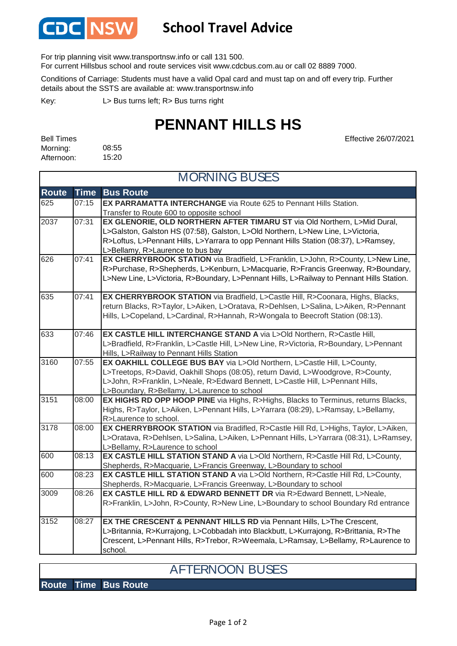

## **School Travel Advice**

For trip planning visit www.transportnsw.info or call 131 500.

For current Hillsbus school and route services visit www.cdcbus.com.au or call 02 8889 7000.

Conditions of Carriage: Students must have a valid Opal card and must tap on and off every trip. Further details about the SSTS are available at: www.transportnsw.info

L> Bus turns left; R> Bus turns right Key:

## **PENNANT HILLS HS**

08:55 15:20 Bell Times Morning: Afternoon:

Effective 26/07/2021

| <b>MORNING BUSES</b> |             |                                                                                                                   |
|----------------------|-------------|-------------------------------------------------------------------------------------------------------------------|
| <b>Route</b>         | <b>Time</b> | <b>Bus Route</b>                                                                                                  |
| 625                  | 07:15       | <b>EX PARRAMATTA INTERCHANGE</b> via Route 625 to Pennant Hills Station.                                          |
|                      |             | Transfer to Route 600 to opposite school                                                                          |
| 2037                 | 07:31       | EX GLENORIE, OLD NORTHERN AFTER TIMARU ST via Old Northern, L>Mid Dural,                                          |
|                      |             | L>Galston, Galston HS (07:58), Galston, L>Old Northern, L>New Line, L>Victoria,                                   |
|                      |             | R>Loftus, L>Pennant Hills, L>Yarrara to opp Pennant Hills Station (08:37), L>Ramsey,                              |
|                      |             | L>Bellamy, R>Laurence to bus bay                                                                                  |
| 626                  | 07:41       | EX CHERRYBROOK STATION via Bradfield, L>Franklin, L>John, R>County, L>New Line,                                   |
|                      |             | R>Purchase, R>Shepherds, L>Kenburn, L>Macquarie, R>Francis Greenway, R>Boundary,                                  |
|                      |             | L>New Line, L>Victoria, R>Boundary, L>Pennant Hills, L>Railway to Pennant Hills Station.                          |
| 635                  | 07:41       | EX CHERRYBROOK STATION via Bradfield, L>Castle Hill, R>Coonara, Highs, Blacks,                                    |
|                      |             | return Blacks, R>Taylor, L>Aiken, L>Oratava, R>Dehlsen, L>Salina, L>Aiken, R>Pennant                              |
|                      |             | Hills, L>Copeland, L>Cardinal, R>Hannah, R>Wongala to Beecroft Station (08:13).                                   |
| 633                  | 07:46       | EX CASTLE HILL INTERCHANGE STAND A via L>Old Northern, R>Castle Hill,                                             |
|                      |             | L>Bradfield, R>Franklin, L>Castle Hill, L>New Line, R>Victoria, R>Boundary, L>Pennant                             |
|                      |             | Hills, L>Railway to Pennant Hills Station                                                                         |
| 3160                 | 07:55       | EX OAKHILL COLLEGE BUS BAY via L>Old Northern, L>Castle Hill, L>County,                                           |
|                      |             | L>Treetops, R>David, Oakhill Shops (08:05), return David, L>Woodgrove, R>County,                                  |
|                      |             | L>John, R>Franklin, L>Neale, R>Edward Bennett, L>Castle Hill, L>Pennant Hills,                                    |
|                      |             | L>Boundary, R>Bellamy, L>Laurence to school                                                                       |
| 3151                 | 08:00       | EX HIGHS RD OPP HOOP PINE via Highs, R>Highs, Blacks to Terminus, returns Blacks,                                 |
|                      |             | Highs, R>Taylor, L>Aiken, L>Pennant Hills, L>Yarrara (08:29), L>Ramsay, L>Bellamy,                                |
|                      |             | R>Laurence to school.                                                                                             |
| 3178                 | 08:00       | EX CHERRYBROOK STATION via Bradifled, R>Castle Hill Rd, L>Highs, Taylor, L>Aiken,                                 |
|                      |             | L>Oratava, R>Dehlsen, L>Salina, L>Aiken, L>Pennant Hills, L>Yarrara (08:31), L>Ramsey,                            |
| 600                  | 08:13       | L>Bellamy, R>Laurence to school<br>EX CASTLE HILL STATION STAND A via L>Old Northern, R>Castle Hill Rd, L>County, |
|                      |             | Shepherds, R>Macquarie, L>Francis Greenway, L>Boundary to school                                                  |
| 600                  | 08:23       | EX CASTLE HILL STATION STAND A via L>Old Northern, R>Castle Hill Rd, L>County,                                    |
|                      |             | Shepherds, R>Macquarie, L>Francis Greenway, L>Boundary to school                                                  |
| $\overline{3}009$    | 08:26       | EX CASTLE HILL RD & EDWARD BENNETT DR via R>Edward Bennett, L>Neale,                                              |
|                      |             | R>Franklin, L>John, R>County, R>New Line, L>Boundary to school Boundary Rd entrance                               |
| 3152                 | 08:27       | EX THE CRESCENT & PENNANT HILLS RD via Pennant Hills, L>The Crescent,                                             |
|                      |             | L>Britannia, R>Kurrajong, L>Cobbadah into Blackbutt, L>Kurrajong, R>Brittania, R>The                              |
|                      |             | Crescent, L>Pennant Hills, R>Trebor, R>Weemala, L>Ramsay, L>Bellamy, R>Laurence to                                |
|                      |             | school.                                                                                                           |

## AFTERNOON BUSES

**Route Time Bus Route**